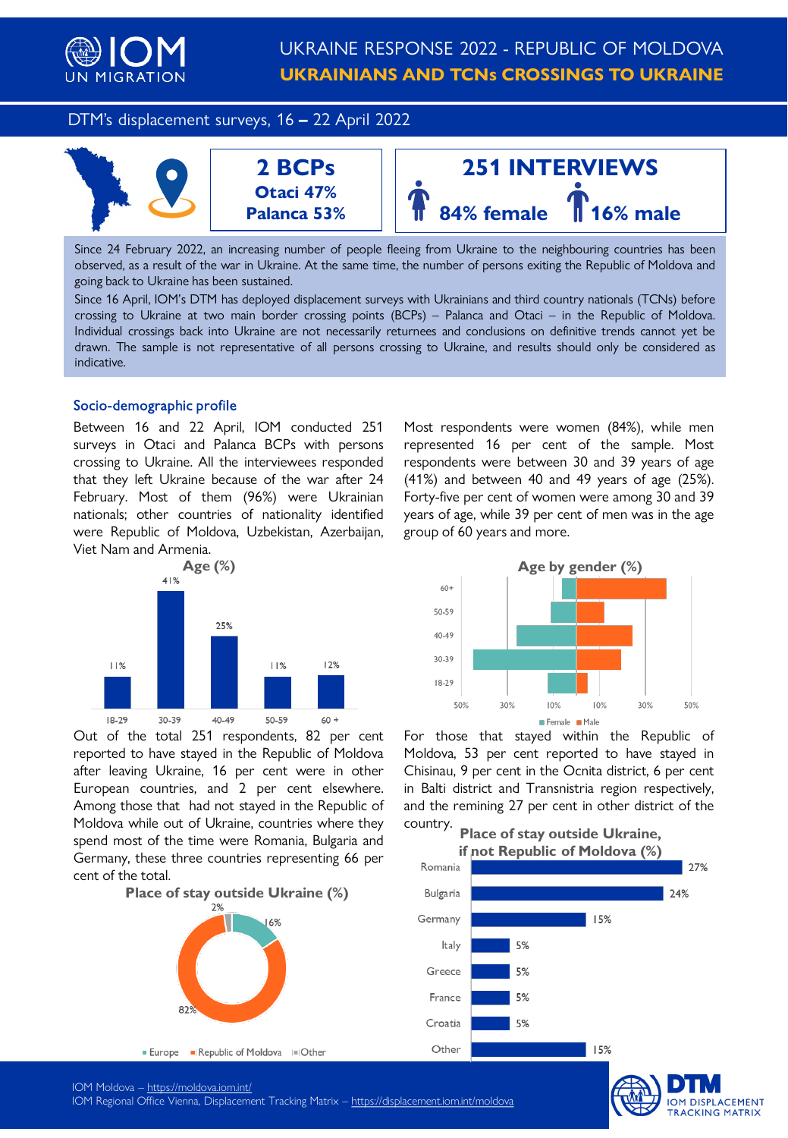

DTM's displacement surveys, 16 **–** 22 April 2022



Since 24 February 2022, an increasing number of people fleeing from Ukraine to the neighbouring countries has been observed, as a result of the war in Ukraine. At the same time, the number of persons exiting the Republic of Moldova and going back to Ukraine has been sustained.

Since 16 April, IOM's DTM has deployed displacement surveys with Ukrainians and third country nationals (TCNs) before crossing to Ukraine at two main border crossing points (BCPs) – Palanca and Otaci – in the Republic of Moldova. Individual crossings back into Ukraine are not necessarily returnees and conclusions on definitive trends cannot yet be drawn. The sample is not representative of all persons crossing to Ukraine, and results should only be considered as indicative.

### Socio-demographic profile

Between 16 and 22 April, IOM conducted 251 surveys in Otaci and Palanca BCPs with persons crossing to Ukraine. All the interviewees responded that they left Ukraine because of the war after 24 February. Most of them (96%) were Ukrainian nationals; other countries of nationality identified were Republic of Moldova, Uzbekistan, Azerbaijan, Viet Nam and Armenia.



Out of the total 251 respondents, 82 per cent reported to have stayed in the Republic of Moldova after leaving Ukraine, 16 per cent were in other European countries, and 2 per cent elsewhere. Among those that had not stayed in the Republic of Moldova while out of Ukraine, countries where they spend most of the time were Romania, Bulgaria and Germany, these three countries representing 66 per cent of the total.



Most respondents were women (84%), while men represented 16 per cent of the sample. Most respondents were between 30 and 39 years of age (41%) and between 40 and 49 years of age (25%). Forty-five per cent of women were among 30 and 39 years of age, while 39 per cent of men was in the age group of 60 years and more.



For those that stayed within the Republic of Moldova, 53 per cent reported to have stayed in Chisinau, 9 per cent in the Ocnita district, 6 per cent in Balti district and Transnistria region respectively, and the remining 27 per cent in other district of the country.



**IOM DISPLACEMENT TRACKING MATRIX** 

IOM Moldova – <https://moldova.iom.int/>

IOM Regional Office Vienna, Displacement Tracking Matrix – <https://displacement.iom.int/moldova>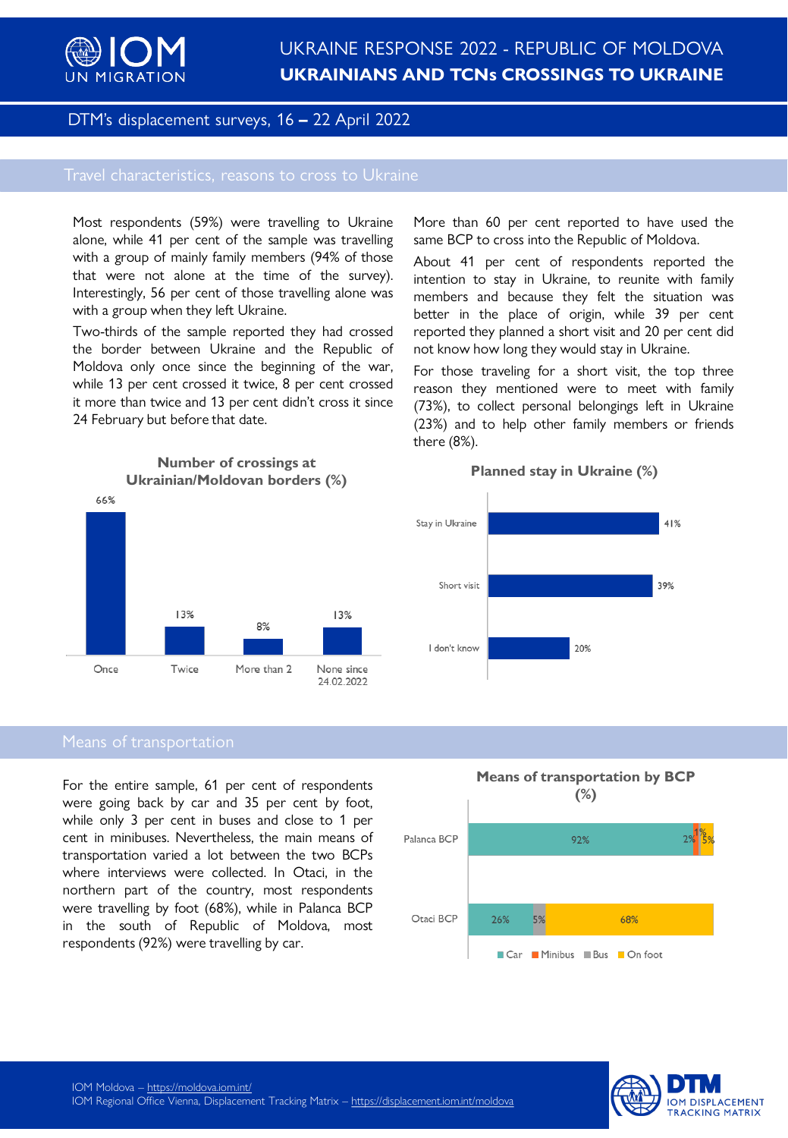

## DTM's displacement surveys, 16 **–** 22 April 2022

Most respondents (59%) were travelling to Ukraine alone, while 41 per cent of the sample was travelling with a group of mainly family members (94% of those that were not alone at the time of the survey). Interestingly, 56 per cent of those travelling alone was with a group when they left Ukraine.

Two-thirds of the sample reported they had crossed the border between Ukraine and the Republic of Moldova only once since the beginning of the war, while 13 per cent crossed it twice, 8 per cent crossed it more than twice and 13 per cent didn't cross it since 24 February but before that date.

More than 60 per cent reported to have used the same BCP to cross into the Republic of Moldova.

About 41 per cent of respondents reported the intention to stay in Ukraine, to reunite with family members and because they felt the situation was better in the place of origin, while 39 per cent reported they planned a short visit and 20 per cent did not know how long they would stay in Ukraine.

For those traveling for a short visit, the top three reason they mentioned were to meet with family (73%), to collect personal belongings left in Ukraine (23%) and to help other family members or friends there (8%).



**Planned stay in Ukraine (%)**<br> **Planned stay in Ukraine (%) Ukrainian/Moldovan borders (%)**



For the entire sample, 61 per cent of respondents were going back by car and 35 per cent by foot, while only 3 per cent in buses and close to 1 per cent in minibuses. Nevertheless, the main means of transportation varied a lot between the two BCPs where interviews were collected. In Otaci, in the northern part of the country, most respondents were travelling by foot (68%), while in Palanca BCP in the south of Republic of Moldova, most respondents (92%) were travelling by car.



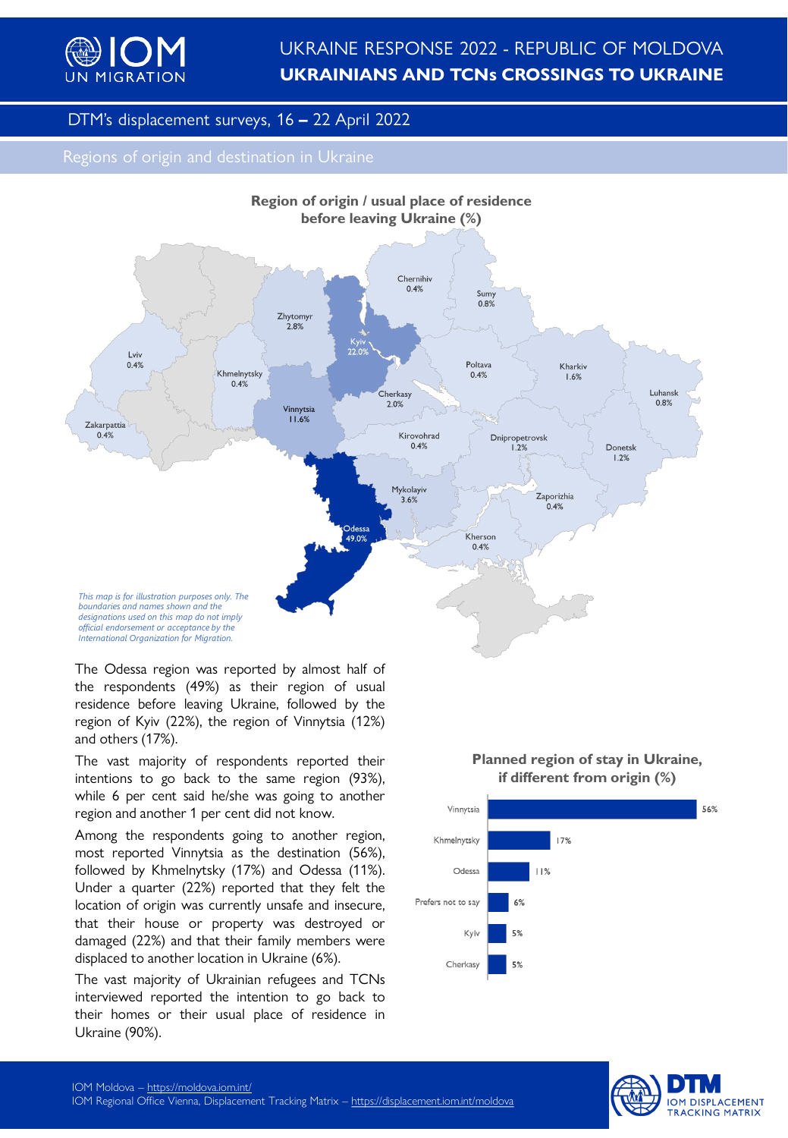

# UKRAINE RESPONSE 2022 - REPUBLIC OF MOLDOVA **UKRAINIANS AND TCNs CROSSINGS TO UKRAINE**

## DTM's displacement surveys, 16 **–** 22 April 2022



The Odessa region was reported by almost half of the respondents (49%) as their region of usual residence before leaving Ukraine, followed by the region of Kyiv (22%), the region of Vinnytsia (12%) and others (17%).

The vast majority of respondents reported their intentions to go back to the same region (93%), while 6 per cent said he/she was going to another region and another 1 per cent did not know.

Among the respondents going to another region, most reported Vinnytsia as the destination (56%), followed by Khmelnytsky (17%) and Odessa (11%). Under a quarter (22%) reported that they felt the location of origin was currently unsafe and insecure, that their house or property was destroyed or damaged (22%) and that their family members were displaced to another location in Ukraine (6%).

The vast majority of Ukrainian refugees and TCNs interviewed reported the intention to go back to their homes or their usual place of residence in Ukraine (90%).

## **Planned region of stay in Ukraine, if different from origin (%)**